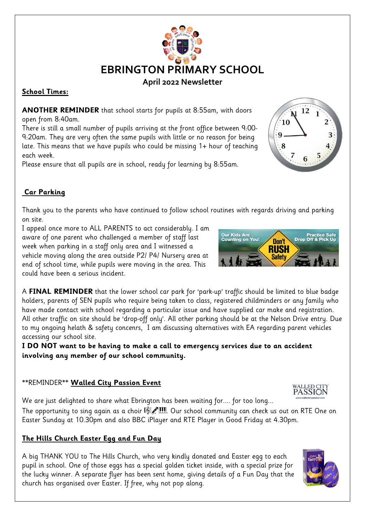

# **April 2022 Newsletter**

#### **School Times:**

**ANOTHER REMINDER** that school starts for pupils at 8:55am, with doors open from 8:40am.

There is still a small number of pupils arriving at the front office between 9:00- 9:20am. They are very often the same pupils with little or no reason for being late. This means that we have pupils who could be missing 1+ hour of teaching each week.

Please ensure that all pupils are in school, ready for learning by 8:55am.



## **Car Parking**

Thank you to the parents who have continued to follow school routines with regards driving and parking on site.

I appeal once more to ALL PARENTS to act considerably. I am aware of one parent who challenged a member of staff last week when parking in a staff only area and I witnessed a vehicle moving along the area outside P2/ P4/ Nursery area at end of school time, while pupils were moving in the area. This could have been a serious incident.

A **FINAL REMINDER** that the lower school car park for 'park-up' traffic should be limited to blue badge holders, parents of SEN pupils who require being taken to class, registered childminders or any family who have made contact with school regarding a particular issue and have supplied car make and registration. All other traffic on site should be 'drop-off only'. All other parking should be at the Nelson Drive entry. Due

accessing our school site. **I DO NOT want to be having to make a call to emergency services due to an accident involving any member of our school community.** 

to my ongoing helath & safety concenrs, I am discussing alternatives with EA regarding parent vehicles

### \*\*REMINDER\*\* **Walled City Passion Event**

We are just delighted to share what Ebrington has been waiting for.... for too long...

The opportunity to sing again as a choir  $\mathbb{F}$   $\mathbb{F}$   $\mathbb{F}$ . Our school community can check us out on RTE One on Easter Sunday at 10.30pm and also BBC iPlayer and RTE Player in Good Friday at 4.30pm.

# **The Hills Church Easter Egg and Fun Day**

A big THANK YOU to The Hills Church, who very kindly donated and Easter egg to each pupil in school. One of those eggs has a special golden ticket inside, with a special prize for the lucky winner. A separate flyer has been sent home, giving details of a Fun Day that the church has organised over Easter. If free, why not pop along.